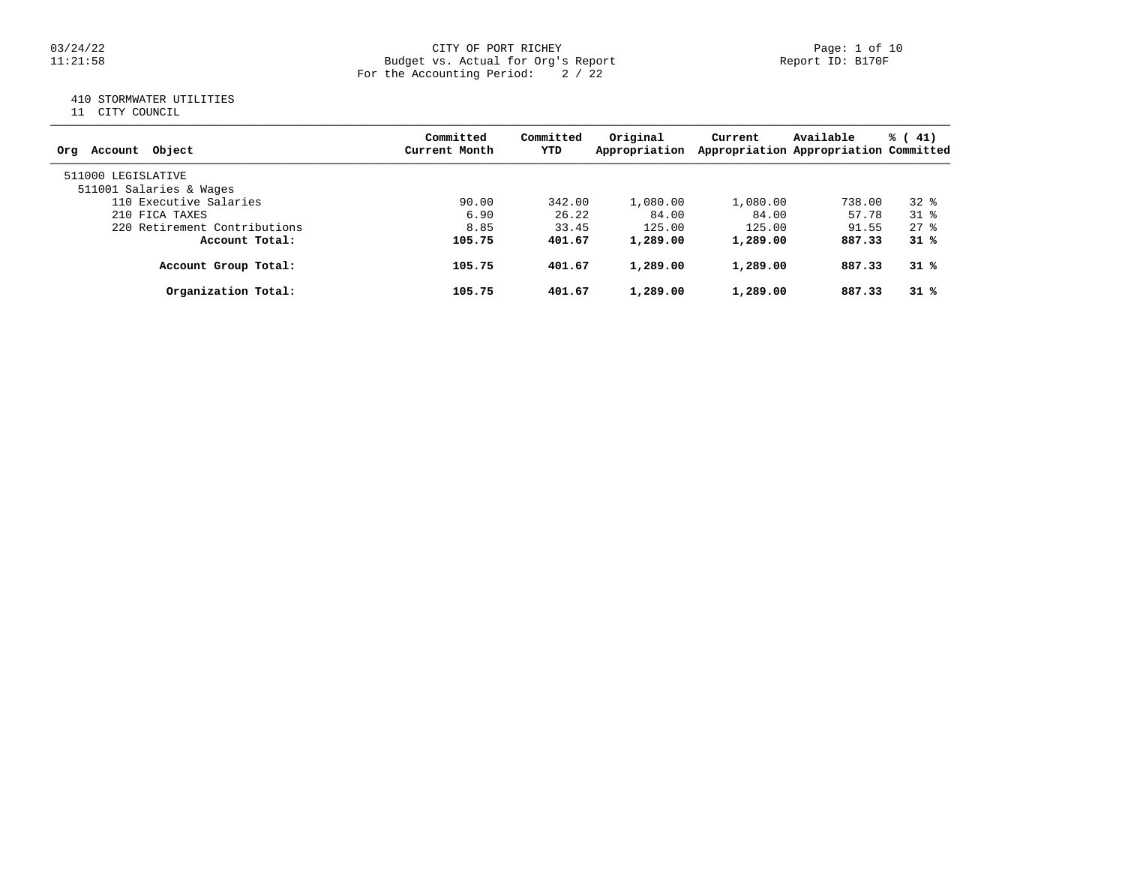#### 03/24/22 CITY OF PORT RICHEY Page: 1 of 10 11:21:58 Budget vs. Actual for Org's Report Report ID: B170F For the Accounting Period: 2 / 22

# 410 STORMWATER UTILITIES

11 CITY COUNCIL

| Account Object<br>Ora        | Committed<br>Current Month | Committed<br>YTD | Original<br>Appropriation | Current  | Available<br>Appropriation Appropriation Committed | % (41)         |
|------------------------------|----------------------------|------------------|---------------------------|----------|----------------------------------------------------|----------------|
| 511000 LEGISLATIVE           |                            |                  |                           |          |                                                    |                |
| 511001 Salaries & Wages      |                            |                  |                           |          |                                                    |                |
| 110 Executive Salaries       | 90.00                      | 342.00           | 1,080.00                  | 1,080.00 | 738.00                                             | $32*$          |
| 210 FICA TAXES               | 6.90                       | 26.22            | 84.00                     | 84.00    | 57.78                                              | $31$ $%$       |
| 220 Retirement Contributions | 8.85                       | 33.45            | 125.00                    | 125.00   | 91.55                                              | $27$ $\approx$ |
| Account Total:               | 105.75                     | 401.67           | 1,289.00                  | 1,289.00 | 887.33                                             | $31*$          |
| Account Group Total:         | 105.75                     | 401.67           | 1,289.00                  | 1,289.00 | 887.33                                             | $31*$          |
| Organization Total:          | 105.75                     | 401.67           | 1,289.00                  | 1,289.00 | 887.33                                             | 31%            |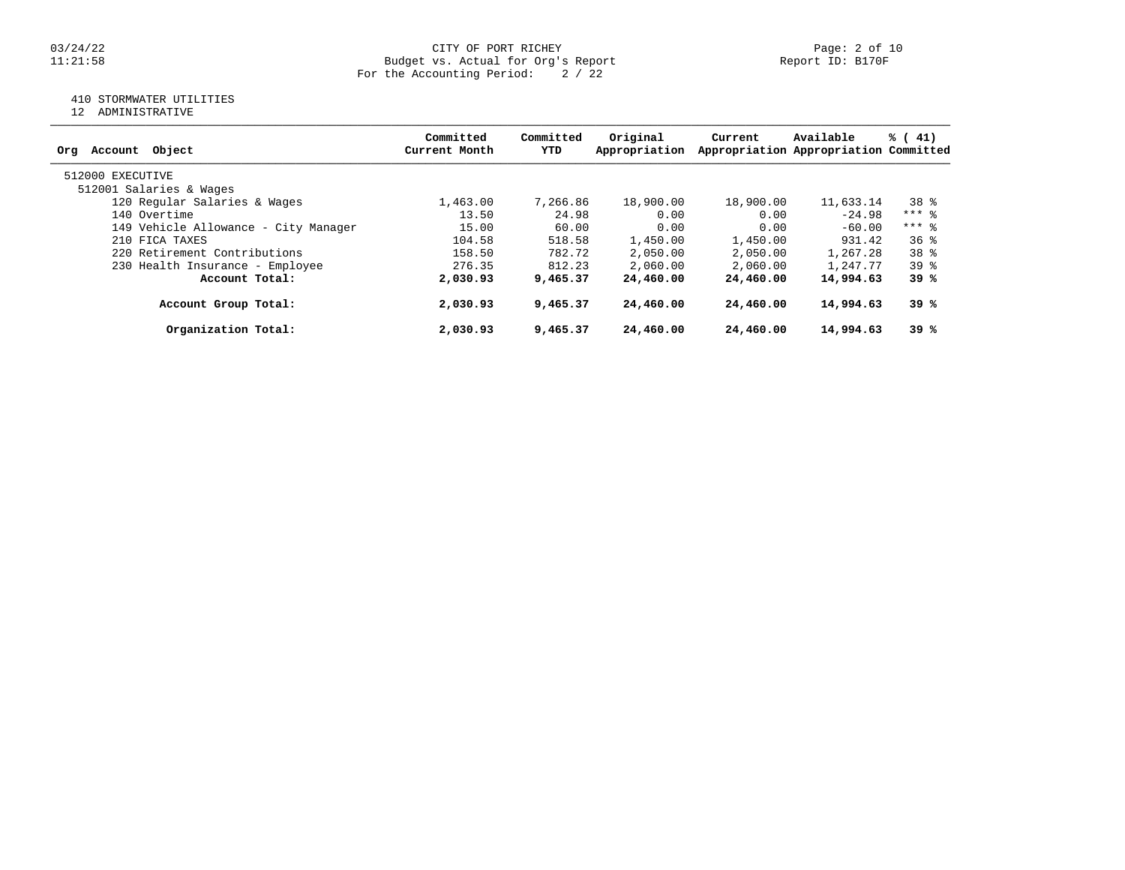#### 03/24/22 CITY OF PORT RICHEY Page: 2 of 10 11:21:58 Budget vs. Actual for Org's Report Report ID: B170F For the Accounting Period: 2 / 22

# 410 STORMWATER UTILITIES

12 ADMINISTRATIVE

| Object<br>Account<br>Org             | Committed<br>Current Month | Committed<br>YTD | Original<br>Appropriation | Current   | Available<br>Appropriation Appropriation Committed | % (41)          |
|--------------------------------------|----------------------------|------------------|---------------------------|-----------|----------------------------------------------------|-----------------|
|                                      |                            |                  |                           |           |                                                    |                 |
| 512000 EXECUTIVE                     |                            |                  |                           |           |                                                    |                 |
| 512001 Salaries & Wages              |                            |                  |                           |           |                                                    |                 |
| 120 Regular Salaries & Wages         | 1,463.00                   | 7,266.86         | 18,900.00                 | 18,900.00 | 11,633.14                                          | 38 %            |
| 140 Overtime                         | 13.50                      | 24.98            | 0.00                      | 0.00      | $-24.98$                                           | $***$ $%$       |
| 149 Vehicle Allowance - City Manager | 15.00                      | 60.00            | 0.00                      | 0.00      | $-60.00$                                           | $***$ 8         |
| 210 FICA TAXES                       | 104.58                     | 518.58           | 1,450.00                  | 1,450.00  | 931.42                                             | 36%             |
| 220 Retirement Contributions         | 158.50                     | 782.72           | 2,050.00                  | 2,050.00  | 1,267.28                                           | 38 %            |
| 230 Health Insurance - Employee      | 276.35                     | 812.23           | 2,060.00                  | 2,060.00  | 1,247.77                                           | 39 <sup>8</sup> |
| Account Total:                       | 2,030.93                   | 9,465.37         | 24,460.00                 | 24,460.00 | 14,994.63                                          | 39 %            |
| Account Group Total:                 | 2,030.93                   | 9,465.37         | 24,460.00                 | 24,460.00 | 14,994.63                                          | 39 %            |
| Organization Total:                  | 2,030.93                   | 9,465.37         | 24,460.00                 | 24,460.00 | 14,994.63                                          | 39%             |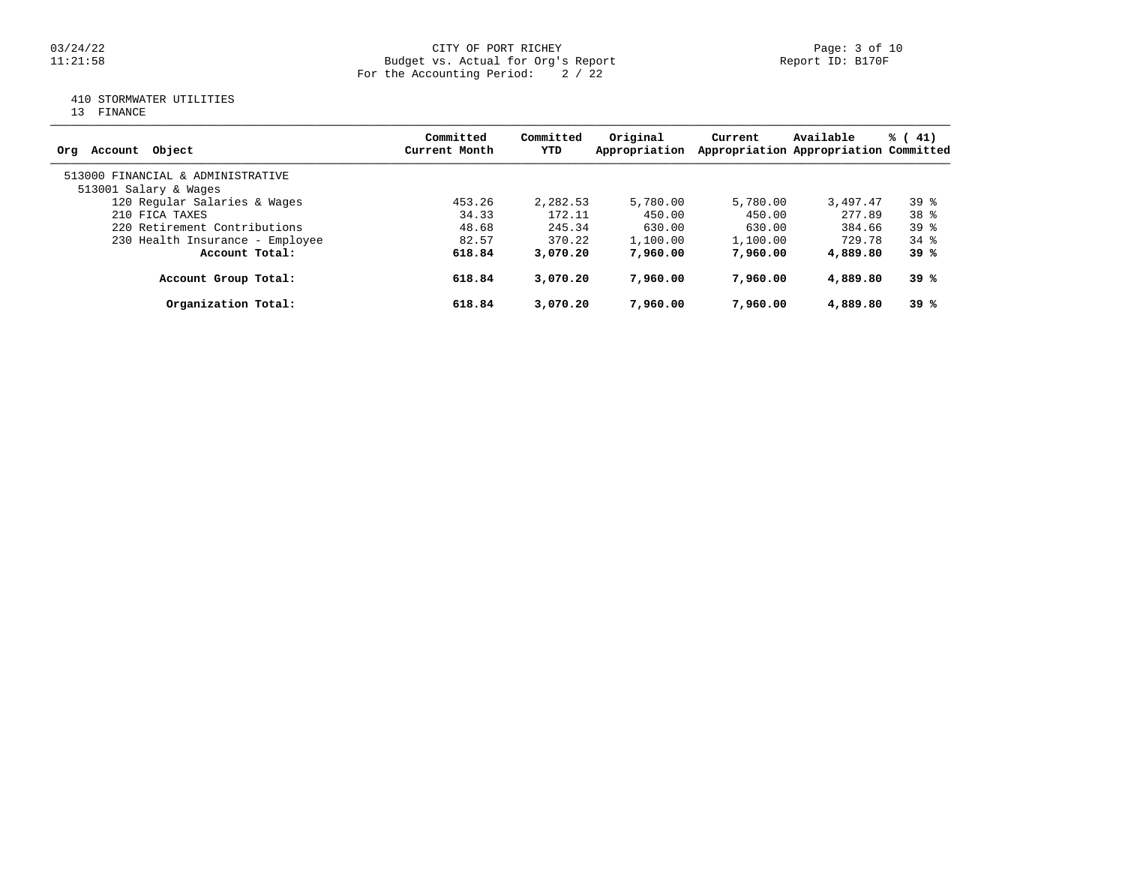### 03/24/22 CITY OF PORT RICHEY Page: 3 of 10 11:21:58 Budget vs. Actual for Org's Report Report ID: B170F For the Accounting Period: 2 / 22

# 410 STORMWATER UTILITIES

13 FINANCE

| Account Object<br>Ora             | Committed<br>Current Month | Committed<br>YTD | Original<br>Appropriation | Current  | Available<br>Appropriation Appropriation Committed | % (41)   |
|-----------------------------------|----------------------------|------------------|---------------------------|----------|----------------------------------------------------|----------|
| 513000 FINANCIAL & ADMINISTRATIVE |                            |                  |                           |          |                                                    |          |
| 513001 Salary & Wages             |                            |                  |                           |          |                                                    |          |
| 120 Regular Salaries & Wages      | 453.26                     | 2,282.53         | 5,780.00                  | 5,780.00 | 3,497.47                                           | $39*$    |
| 210 FICA TAXES                    | 34.33                      | 172.11           | 450.00                    | 450.00   | 277.89                                             | $38*$    |
| 220 Retirement Contributions      | 48.68                      | 245.34           | 630.00                    | 630.00   | 384.66                                             | $39*$    |
| 230 Health Insurance - Employee   | 82.57                      | 370.22           | 1,100.00                  | 1,100.00 | 729.78                                             | $34$ $%$ |
| Account Total:                    | 618.84                     | 3,070.20         | 7,960,00                  | 7,960,00 | 4,889.80                                           | 39 %     |
| Account Group Total:              | 618.84                     | 3,070.20         | 7,960,00                  | 7,960,00 | 4,889.80                                           | 39 %     |
| Organization Total:               | 618.84                     | 3,070.20         | 7,960,00                  | 7,960,00 | 4,889.80                                           | 39%      |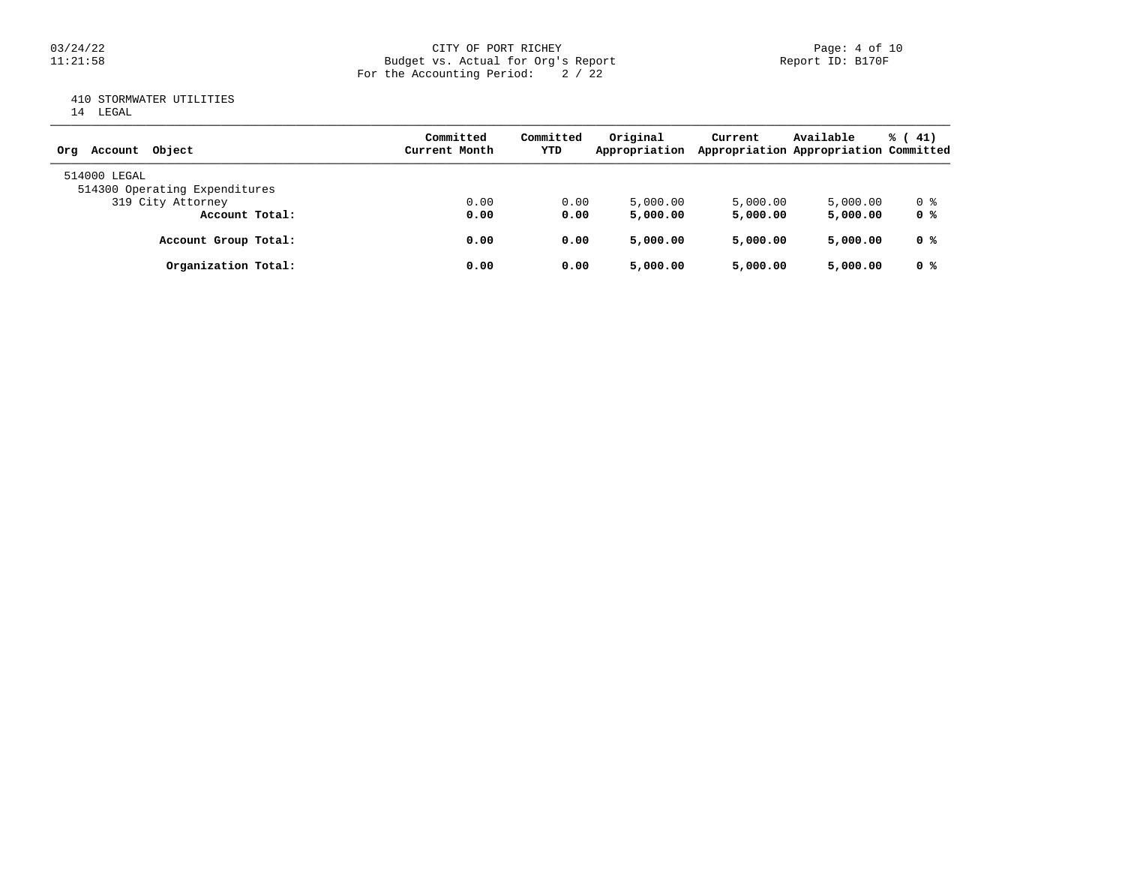### 03/24/22 CITY OF PORT RICHEY Page: 4 of 10 11:21:58 Budget vs. Actual for Org's Report Report ID: B170F For the Accounting Period: 2 / 22

## 410 STORMWATER UTILITIES 14 LEGAL

| Account Object<br>Orq         | Committed<br>Current Month | Committed<br>YTD | Original<br>Appropriation | Current  | Available<br>Appropriation Appropriation Committed | $\frac{1}{6}$ ( 41) |
|-------------------------------|----------------------------|------------------|---------------------------|----------|----------------------------------------------------|---------------------|
| 514000 LEGAL                  |                            |                  |                           |          |                                                    |                     |
| 514300 Operating Expenditures |                            |                  |                           |          |                                                    |                     |
| 319 City Attorney             | 0.00                       | 0.00             | 5,000.00                  | 5,000.00 | 5,000.00                                           | 0 %                 |
| Account Total:                | 0.00                       | 0.00             | 5,000.00                  | 5,000,00 | 5,000.00                                           | 0 %                 |
| Account Group Total:          | 0.00                       | 0.00             | 5,000.00                  | 5,000,00 | 5,000.00                                           | 0 %                 |
| Organization Total:           | 0.00                       | 0.00             | 5,000.00                  | 5,000,00 | 5,000.00                                           | 0 %                 |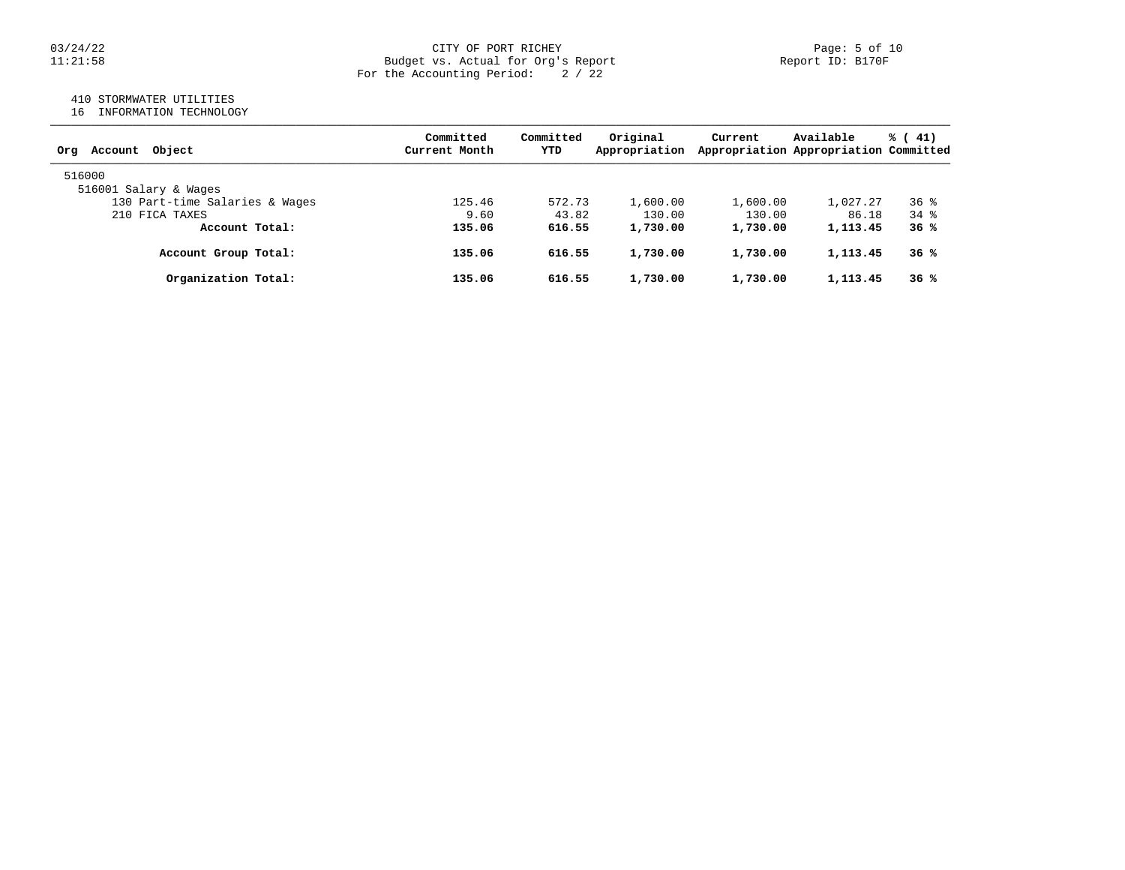#### 03/24/22 CITY OF PORT RICHEY Page: 5 of 10 11:21:58 Budget vs. Actual for Org's Report Report ID: B170F For the Accounting Period: 2 / 22

## 410 STORMWATER UTILITIES

16 INFORMATION TECHNOLOGY

| Account Object<br>Orq          | Committed<br>Current Month | Committed<br>YTD | Original<br>Appropriation | Current  | Available<br>Appropriation Appropriation Committed | % (41)          |
|--------------------------------|----------------------------|------------------|---------------------------|----------|----------------------------------------------------|-----------------|
| 516000                         |                            |                  |                           |          |                                                    |                 |
| 516001 Salary & Wages          |                            |                  |                           |          |                                                    |                 |
| 130 Part-time Salaries & Wages | 125.46                     | 572.73           | 1,600.00                  | 1,600.00 | 1,027.27                                           | 36 <sup>8</sup> |
| 210 FICA TAXES                 | 9.60                       | 43.82            | 130.00                    | 130.00   | 86.18                                              | $34$ $%$        |
| Account Total:                 | 135.06                     | 616.55           | 1,730.00                  | 1,730.00 | 1,113.45                                           | 36%             |
| Account Group Total:           | 135.06                     | 616.55           | 1,730.00                  | 1,730.00 | 1,113.45                                           | 36%             |
| Organization Total:            | 135.06                     | 616.55           | 1,730.00                  | 1,730.00 | 1,113.45                                           | 36%             |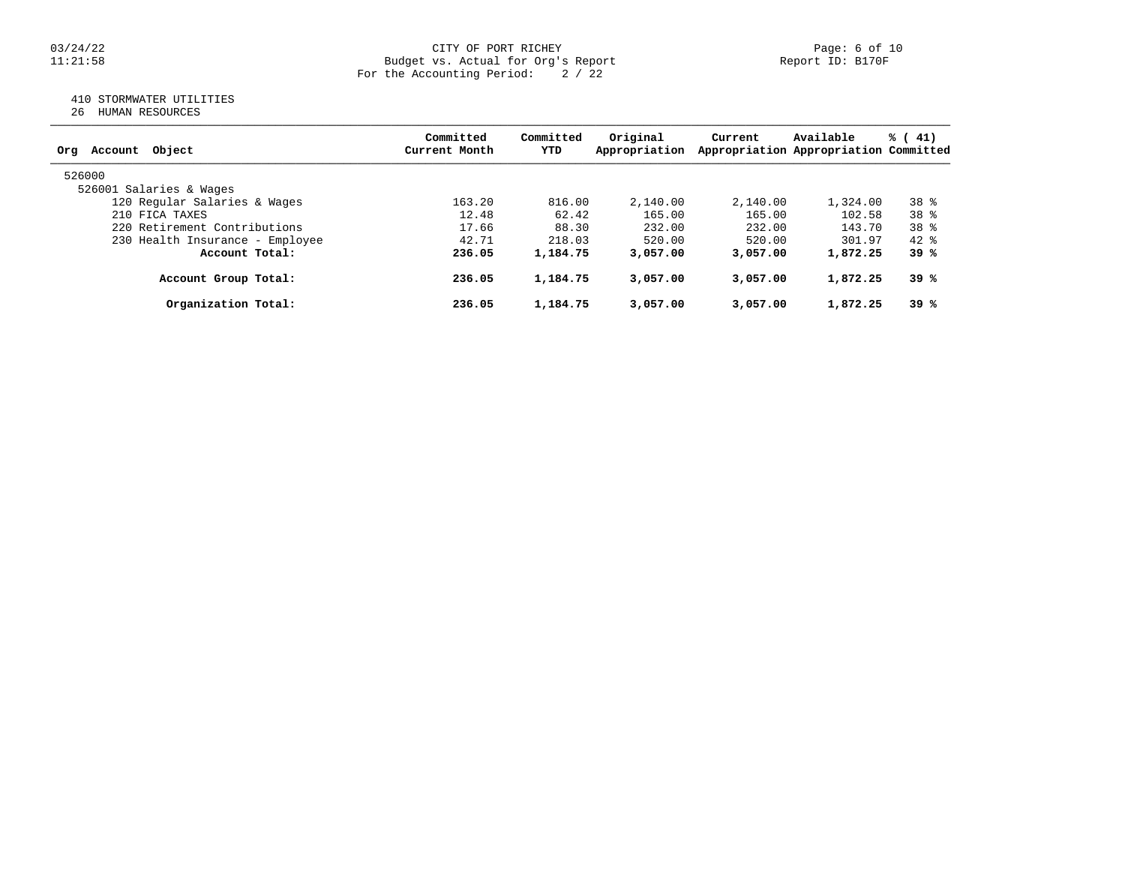#### 03/24/22 CITY OF PORT RICHEY Page: 6 of 10 11:21:58 Budget vs. Actual for Org's Report Report ID: B170F For the Accounting Period: 2 / 22

## 410 STORMWATER UTILITIES

26 HUMAN RESOURCES

| Account Object<br>Orq           | Committed<br>Current Month | Committed<br>YTD | Original<br>Appropriation | Current  | Available<br>Appropriation Appropriation Committed | % (41)          |
|---------------------------------|----------------------------|------------------|---------------------------|----------|----------------------------------------------------|-----------------|
| 526000                          |                            |                  |                           |          |                                                    |                 |
| 526001 Salaries & Wages         |                            |                  |                           |          |                                                    |                 |
| 120 Regular Salaries & Wages    | 163.20                     | 816.00           | 2,140.00                  | 2,140.00 | 1,324.00                                           | $38*$           |
| 210 FICA TAXES                  | 12.48                      | 62.42            | 165.00                    | 165.00   | 102.58                                             | 38 <sup>8</sup> |
| 220 Retirement Contributions    | 17.66                      | 88.30            | 232.00                    | 232.00   | 143.70                                             | 38 <sup>8</sup> |
| 230 Health Insurance - Employee | 42.71                      | 218.03           | 520.00                    | 520.00   | 301.97                                             | 42.8            |
| Account Total:                  | 236.05                     | 1,184.75         | 3,057.00                  | 3,057,00 | 1,872.25                                           | 39 %            |
| Account Group Total:            | 236.05                     | 1,184.75         | 3,057.00                  | 3,057,00 | 1,872.25                                           | 39 %            |
| Organization Total:             | 236.05                     | 1,184.75         | 3,057.00                  | 3,057,00 | 1,872.25                                           | 39 %            |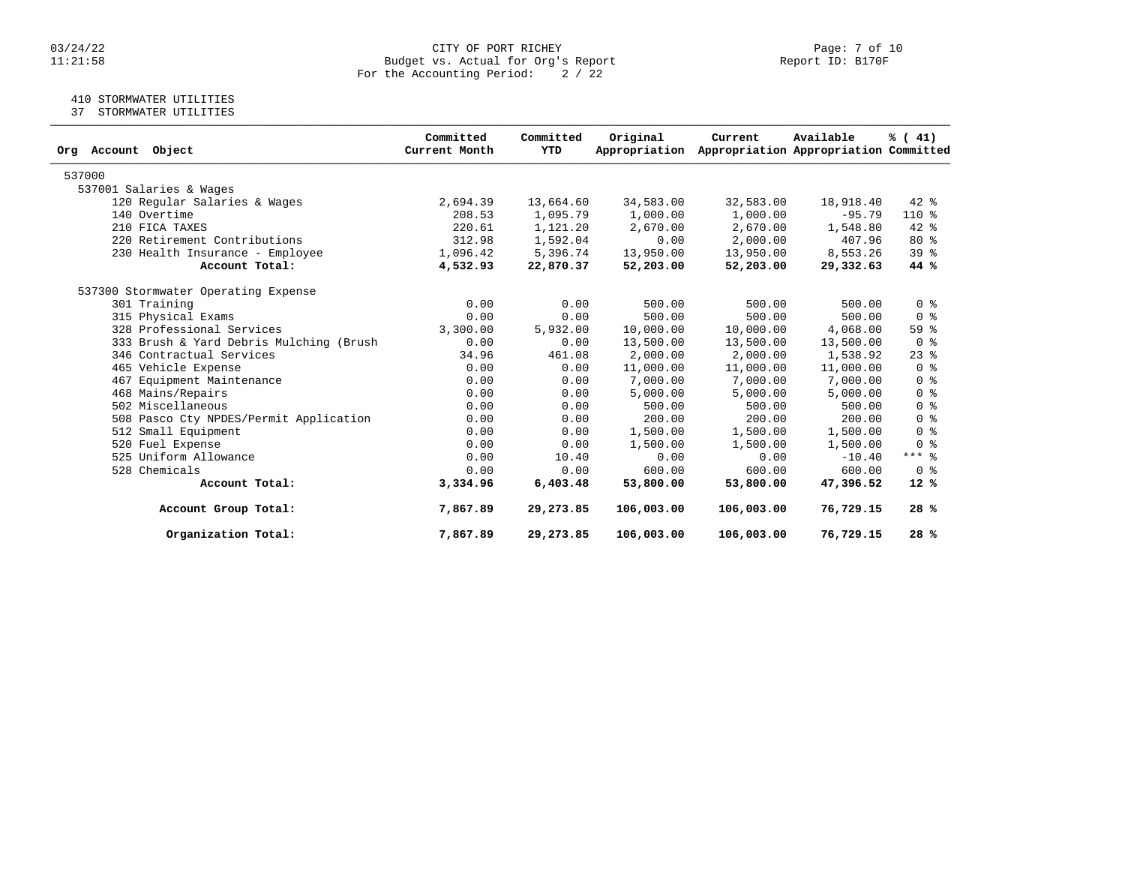#### 03/24/22 CITY OF PORT RICHEY Page: 7 of 10 11:21:58 Budget vs. Actual for Org's Report Report ID: B170F For the Accounting Period: 2 / 22

## 410 STORMWATER UTILITIES

37 STORMWATER UTILITIES

| Object<br>Org Account                   | Committed<br>Current Month | Committed<br>YTD | Original<br>Appropriation | Current    | Available<br>Appropriation Appropriation Committed | % (41)                             |
|-----------------------------------------|----------------------------|------------------|---------------------------|------------|----------------------------------------------------|------------------------------------|
|                                         |                            |                  |                           |            |                                                    |                                    |
| 537000                                  |                            |                  |                           |            |                                                    |                                    |
| 537001 Salaries & Wages                 |                            |                  |                           |            |                                                    |                                    |
| 120 Regular Salaries & Wages            | 2,694.39                   | 13,664.60        | 34,583.00                 | 32,583.00  | 18,918.40                                          | $42$ %                             |
| 140 Overtime                            | 208.53                     | 1,095.79         | 1,000.00                  | 1,000.00   | $-95.79$                                           | $110*$                             |
| 210 FICA TAXES                          | 220.61                     | 1,121.20         | 2,670.00                  | 2,670.00   | 1,548.80                                           | 42 %                               |
| 220 Retirement Contributions            | 312.98                     | 1,592.04         | 0.00                      | 2,000.00   | 407.96                                             | $80*$                              |
| 230 Health Insurance - Employee         | 1,096.42                   | 5,396.74         | 13,950.00                 | 13,950.00  | 8,553.26                                           | 39 <sup>8</sup>                    |
| Account Total:                          | 4,532.93                   | 22,870.37        | 52,203.00                 | 52,203.00  | 29,332.63                                          | 44 %                               |
| 537300 Stormwater Operating Expense     |                            |                  |                           |            |                                                    |                                    |
| 301 Training                            | 0.00                       | 0.00             | 500.00                    | 500.00     | 500.00                                             | 0 <sup>8</sup>                     |
| 315 Physical Exams                      | 0.00                       | 0.00             | 500.00                    | 500.00     | 500.00                                             | $0 \text{ }$ $\text{ }$ $\text{ }$ |
| 328 Professional Services               | 3,300.00                   | 5,932.00         | 10,000.00                 | 10,000.00  | 4,068.00                                           | 59%                                |
| 333 Brush & Yard Debris Mulching (Brush | 0.00                       | 0.00             | 13,500.00                 | 13,500.00  | 13,500.00                                          | 0 <sup>8</sup>                     |
| 346 Contractual Services                | 34.96                      | 461.08           | 2,000.00                  | 2,000.00   | 1,538.92                                           | $23$ $%$                           |
| 465 Vehicle Expense                     | 0.00                       | 0.00             | 11,000.00                 | 11,000.00  | 11,000.00                                          | 0 <sup>8</sup>                     |
| 467 Equipment Maintenance               | 0.00                       | 0.00             | 7,000.00                  | 7,000.00   | 7,000.00                                           | 0 <sup>8</sup>                     |
| 468 Mains/Repairs                       | 0.00                       | 0.00             | 5,000.00                  | 5,000.00   | 5,000.00                                           | 0 <sup>8</sup>                     |
| 502 Miscellaneous                       | 0.00                       | 0.00             | 500.00                    | 500.00     | 500.00                                             | 0 <sup>8</sup>                     |
| 508 Pasco Cty NPDES/Permit Application  | 0.00                       | 0.00             | 200.00                    | 200.00     | 200.00                                             | 0 <sup>8</sup>                     |
| 512 Small Equipment                     | 0.00                       | 0.00             | 1,500.00                  | 1,500.00   | 1,500.00                                           | 0 <sup>8</sup>                     |
| 520 Fuel Expense                        | 0.00                       | 0.00             | 1,500.00                  | 1,500.00   | 1,500.00                                           | 0 <sup>8</sup>                     |
| 525 Uniform Allowance                   | 0.00                       | 10.40            | 0.00                      | 0.00       | $-10.40$                                           | $***$ $%$                          |
| 528 Chemicals                           | 0.00                       | 0.00             | 600.00                    | 600.00     | 600.00                                             | 0 <sup>8</sup>                     |
| Account Total:                          | 3,334.96                   | 6,403.48         | 53,800.00                 | 53,800.00  | 47,396.52                                          | $12*$                              |
| Account Group Total:                    | 7,867.89                   | 29, 273.85       | 106,003.00                | 106,003.00 | 76,729.15                                          | 28%                                |
| Organization Total:                     | 7,867.89                   | 29,273.85        | 106,003.00                | 106,003.00 | 76,729.15                                          | 28%                                |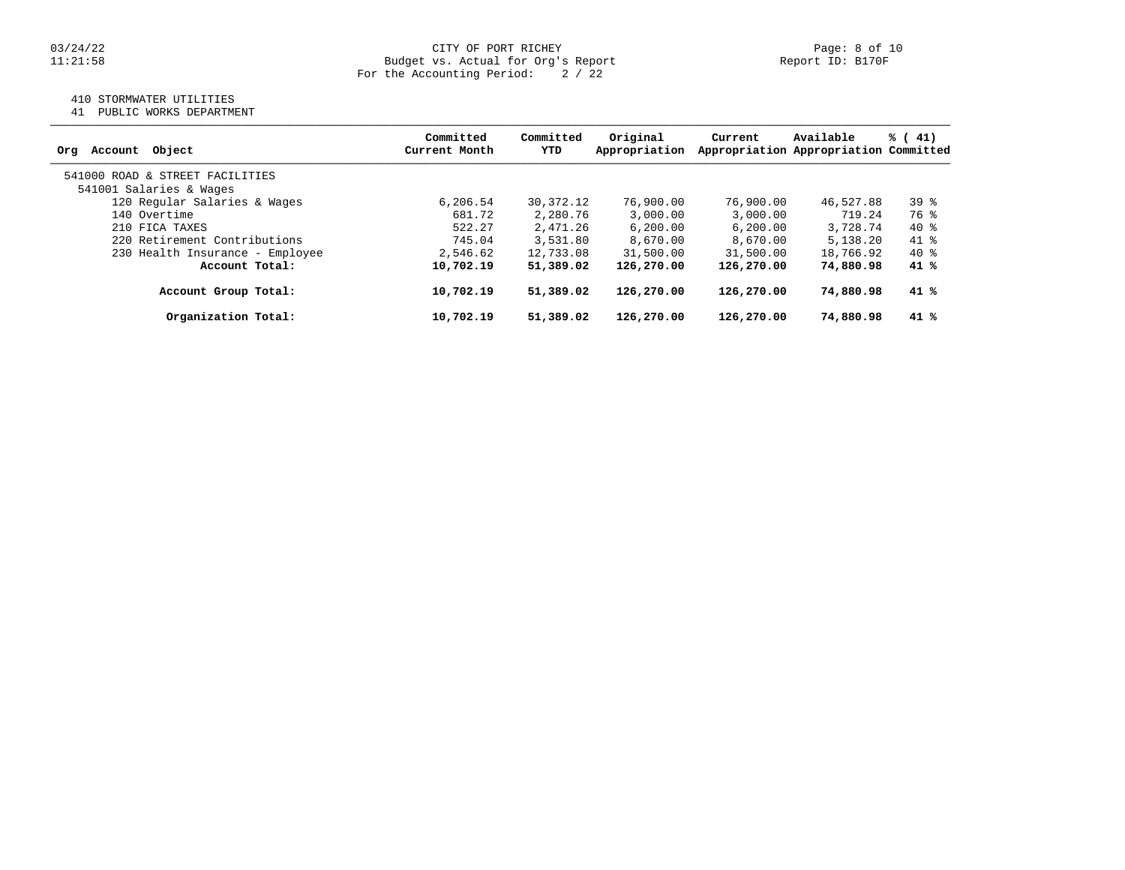#### 03/24/22 CITY OF PORT RICHEY Page: 8 of 10 11:21:58 Budget vs. Actual for Org's Report Report ID: B170F For the Accounting Period: 2 / 22

## 410 STORMWATER UTILITIES

41 PUBLIC WORKS DEPARTMENT

| Object<br>Account<br>Org        | Committed<br>Current Month | Committed<br>YTD | Original<br>Appropriation | Current    | Available<br>Appropriation Appropriation Committed | % (41) |
|---------------------------------|----------------------------|------------------|---------------------------|------------|----------------------------------------------------|--------|
| 541000 ROAD & STREET FACILITIES |                            |                  |                           |            |                                                    |        |
| 541001 Salaries & Wages         |                            |                  |                           |            |                                                    |        |
| 120 Regular Salaries & Wages    | 6, 206.54                  | 30,372.12        | 76,900.00                 | 76,900.00  | 46,527.88                                          | $39*$  |
| 140 Overtime                    | 681.72                     | 2,280.76         | 3,000.00                  | 3,000.00   | 719.24                                             | 76 %   |
| 210 FICA TAXES                  | 522.27                     | 2,471.26         | 6, 200, 00                | 6, 200, 00 | 3,728.74                                           | $40*$  |
| 220 Retirement Contributions    | 745.04                     | 3,531.80         | 8,670.00                  | 8,670.00   | 5,138.20                                           | 41 %   |
| 230 Health Insurance - Employee | 2,546.62                   | 12,733.08        | 31,500.00                 | 31,500.00  | 18,766.92                                          | $40*$  |
| Account Total:                  | 10,702.19                  | 51,389.02        | 126,270.00                | 126,270.00 | 74,880.98                                          | 41 %   |
| Account Group Total:            | 10,702.19                  | 51,389.02        | 126,270.00                | 126,270.00 | 74,880.98                                          | 41 %   |
| Organization Total:             | 10,702.19                  | 51,389.02        | 126,270.00                | 126,270.00 | 74,880.98                                          | 41 %   |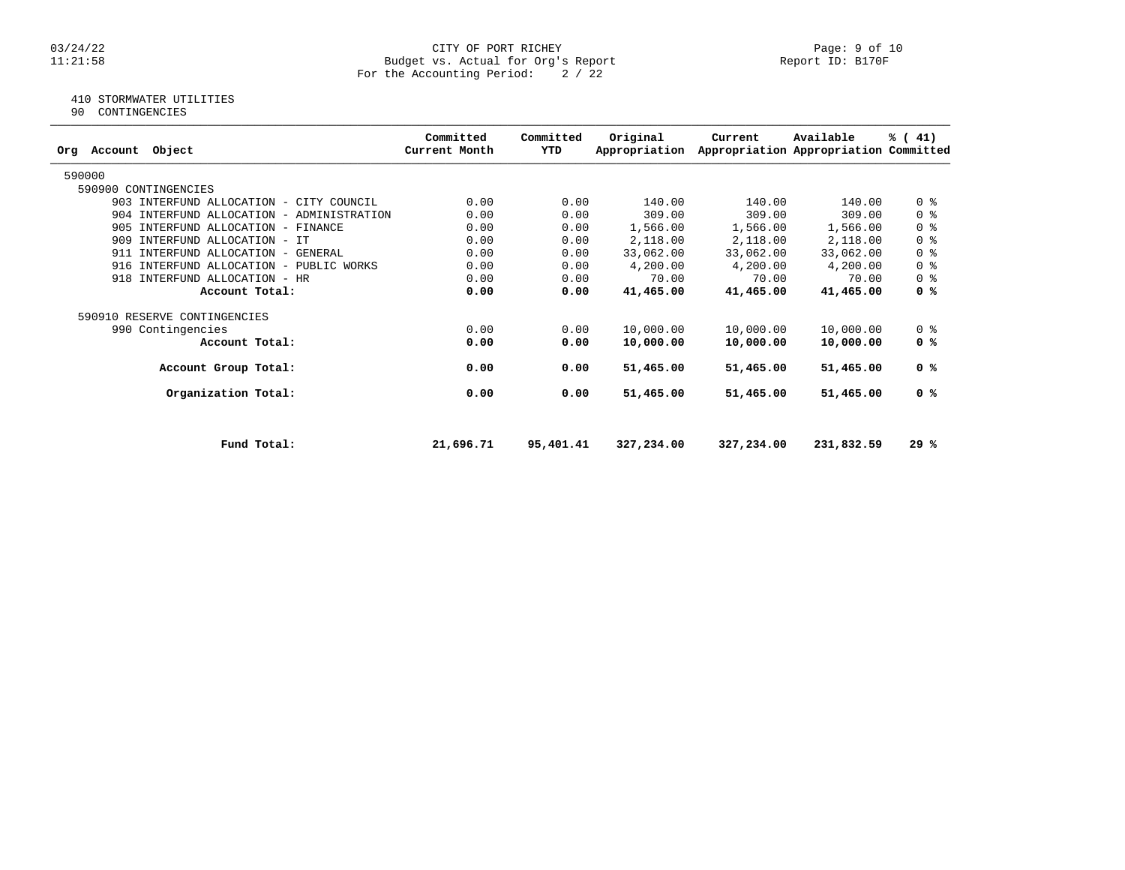#### 03/24/22 CITY OF PORT RICHEY Page: 9 of 10 11:21:58 Budget vs. Actual for Org's Report Report ID: B170F For the Accounting Period: 2 / 22

## 410 STORMWATER UTILITIES

90 CONTINGENCIES

| Object<br>Account<br>Orq                  | Committed<br>Current Month | Committed<br>YTD | Original<br>Appropriation | Current    | Available<br>Appropriation Appropriation Committed | % (41)                             |
|-------------------------------------------|----------------------------|------------------|---------------------------|------------|----------------------------------------------------|------------------------------------|
| 590000                                    |                            |                  |                           |            |                                                    |                                    |
| 590900 CONTINGENCIES                      |                            |                  |                           |            |                                                    |                                    |
| 903 INTERFUND ALLOCATION - CITY COUNCIL   | 0.00                       | 0.00             | 140.00                    | 140.00     | 140.00                                             | 0 <sup>8</sup>                     |
| 904 INTERFUND ALLOCATION - ADMINISTRATION | 0.00                       | 0.00             | 309.00                    | 309.00     | 309.00                                             | 0 <sup>8</sup>                     |
| 905 INTERFUND ALLOCATION - FINANCE        | 0.00                       | 0.00             | 1,566.00                  | 1,566.00   | 1,566.00                                           | $0 \text{ }$ $\text{ }$ $\text{ }$ |
| 909 INTERFUND ALLOCATION - IT             | 0.00                       | 0.00             | 2,118.00                  | 2,118.00   | 2,118.00                                           | 0 <sup>8</sup>                     |
| 911 INTERFUND ALLOCATION - GENERAL        | 0.00                       | 0.00             | 33,062.00                 | 33,062.00  | 33,062.00                                          | 0 <sup>8</sup>                     |
| 916 INTERFUND ALLOCATION - PUBLIC WORKS   | 0.00                       | 0.00             | 4,200.00                  | 4,200.00   | 4,200.00                                           | 0 <sup>8</sup>                     |
| INTERFUND ALLOCATION - HR<br>918          | 0.00                       | 0.00             | 70.00                     | 70.00      | 70.00                                              | 0 <sup>8</sup>                     |
| Account Total:                            | 0.00                       | 0.00             | 41,465.00                 | 41,465.00  | 41,465.00                                          | 0 <sup>8</sup>                     |
| 590910 RESERVE CONTINGENCIES              |                            |                  |                           |            |                                                    |                                    |
| 990 Contingencies                         | 0.00                       | 0.00             | 10,000.00                 | 10,000.00  | 10,000.00                                          | 0 <sub>8</sub>                     |
| Account Total:                            | 0.00                       | 0.00             | 10,000.00                 | 10,000.00  | 10,000.00                                          | 0 <sup>8</sup>                     |
| Account Group Total:                      | 0.00                       | 0.00             | 51,465.00                 | 51,465.00  | 51,465.00                                          | 0 %                                |
| Organization Total:                       | 0.00                       | 0.00             | 51,465.00                 | 51,465.00  | 51,465.00                                          | 0 <sup>8</sup>                     |
|                                           |                            |                  |                           |            |                                                    |                                    |
| Fund Total:                               | 21,696.71                  | 95,401.41        | 327,234.00                | 327,234.00 | 231,832.59                                         | 29%                                |